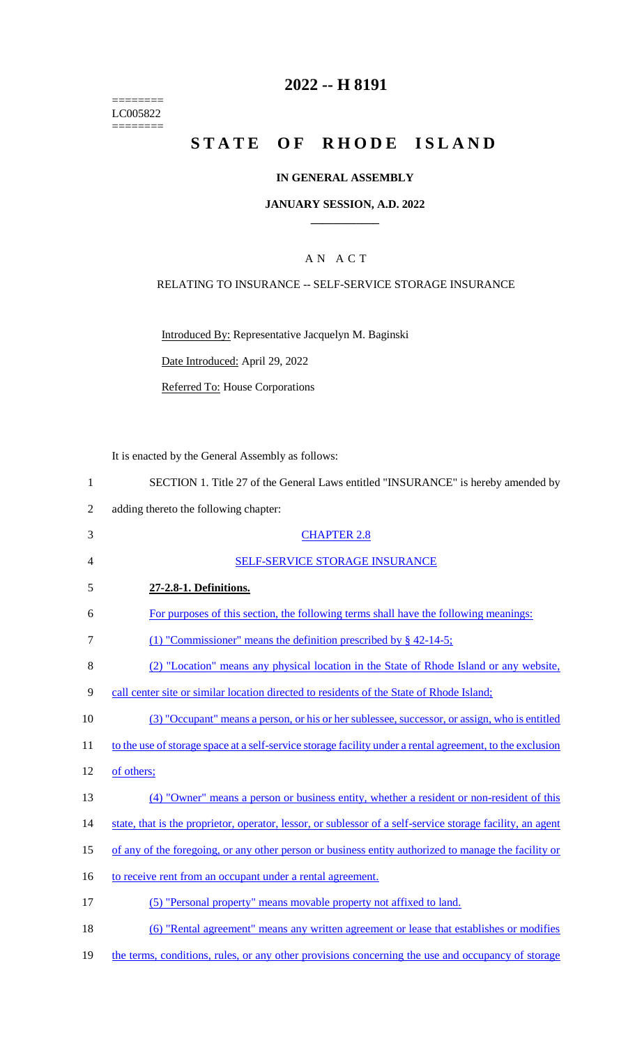======== LC005822  $=$ 

# **2022 -- H 8191**

# **STATE OF RHODE ISLAND**

## **IN GENERAL ASSEMBLY**

### **JANUARY SESSION, A.D. 2022 \_\_\_\_\_\_\_\_\_\_\_\_**

## A N A C T

## RELATING TO INSURANCE -- SELF-SERVICE STORAGE INSURANCE

Introduced By: Representative Jacquelyn M. Baginski

Date Introduced: April 29, 2022

Referred To: House Corporations

It is enacted by the General Assembly as follows:

| $\mathbf{1}$   | SECTION 1. Title 27 of the General Laws entitled "INSURANCE" is hereby amended by                          |
|----------------|------------------------------------------------------------------------------------------------------------|
| $\overline{2}$ | adding thereto the following chapter:                                                                      |
| 3              | <b>CHAPTER 2.8</b>                                                                                         |
| $\overline{4}$ | SELF-SERVICE STORAGE INSURANCE                                                                             |
| 5              | 27-2.8-1. Definitions.                                                                                     |
| 6              | For purposes of this section, the following terms shall have the following meanings:                       |
| $\overline{7}$ | (1) "Commissioner" means the definition prescribed by $\S$ 42-14-5;                                        |
| 8              | (2) "Location" means any physical location in the State of Rhode Island or any website,                    |
| 9              | call center site or similar location directed to residents of the State of Rhode Island;                   |
| 10             | (3) "Occupant" means a person, or his or her sublessee, successor, or assign, who is entitled              |
| 11             | to the use of storage space at a self-service storage facility under a rental agreement, to the exclusion  |
| 12             | of others;                                                                                                 |
| 13             | (4) "Owner" means a person or business entity, whether a resident or non-resident of this                  |
| 14             | state, that is the proprietor, operator, lessor, or sublessor of a self-service storage facility, an agent |
| 15             | of any of the foregoing, or any other person or business entity authorized to manage the facility or       |
| 16             | to receive rent from an occupant under a rental agreement.                                                 |
| 17             | (5) "Personal property" means movable property not affixed to land.                                        |
| 18             | (6) "Rental agreement" means any written agreement or lease that establishes or modifies                   |
| 19             | the terms, conditions, rules, or any other provisions concerning the use and occupancy of storage          |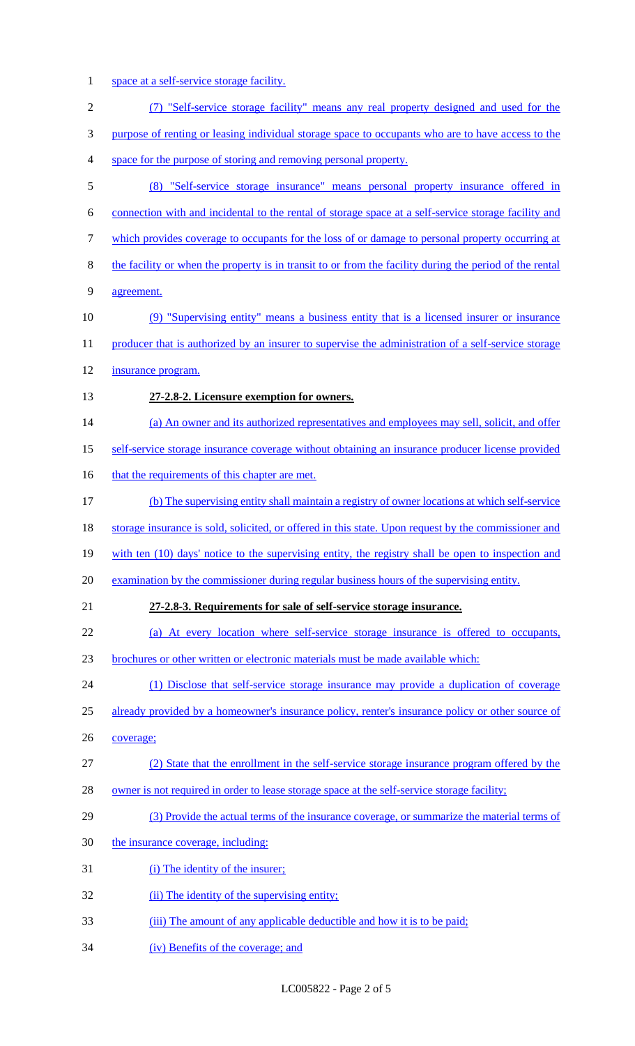1 space at a self-service storage facility.

| $\mathbf{2}$ | (7) "Self-service storage facility" means any real property designed and used for the                   |
|--------------|---------------------------------------------------------------------------------------------------------|
| 3            | purpose of renting or leasing individual storage space to occupants who are to have access to the       |
| 4            | space for the purpose of storing and removing personal property.                                        |
| 5            | (8) "Self-service storage insurance" means personal property insurance offered in                       |
| 6            | connection with and incidental to the rental of storage space at a self-service storage facility and    |
| $\tau$       | which provides coverage to occupants for the loss of or damage to personal property occurring at        |
| $8\,$        | the facility or when the property is in transit to or from the facility during the period of the rental |
| 9            | agreement.                                                                                              |
| 10           | (9) "Supervising entity" means a business entity that is a licensed insurer or insurance                |
| 11           | producer that is authorized by an insurer to supervise the administration of a self-service storage     |
| 12           | insurance program.                                                                                      |
| 13           | 27-2.8-2. Licensure exemption for owners.                                                               |
| 14           | (a) An owner and its authorized representatives and employees may sell, solicit, and offer              |
| 15           | self-service storage insurance coverage without obtaining an insurance producer license provided        |
| 16           | that the requirements of this chapter are met.                                                          |
| 17           | (b) The supervising entity shall maintain a registry of owner locations at which self-service           |
| 18           | storage insurance is sold, solicited, or offered in this state. Upon request by the commissioner and    |
| 19           | with ten (10) days' notice to the supervising entity, the registry shall be open to inspection and      |
| 20           | examination by the commissioner during regular business hours of the supervising entity.                |
| 21           | 27-2.8-3. Requirements for sale of self-service storage insurance.                                      |
| 22           | (a) At every location where self-service storage insurance is offered to occupants,                     |
| 23           | brochures or other written or electronic materials must be made available which:                        |
| 24           | (1) Disclose that self-service storage insurance may provide a duplication of coverage                  |
| 25           | already provided by a homeowner's insurance policy, renter's insurance policy or other source of        |
| 26           | coverage;                                                                                               |
| 27           | (2) State that the enrollment in the self-service storage insurance program offered by the              |
| 28           | owner is not required in order to lease storage space at the self-service storage facility;             |
| 29           | (3) Provide the actual terms of the insurance coverage, or summarize the material terms of              |
| 30           | the insurance coverage, including:                                                                      |
| 31           | (i) The identity of the insurer;                                                                        |
| 32           | (ii) The identity of the supervising entity;                                                            |
| 33           | (iii) The amount of any applicable deductible and how it is to be paid;                                 |
| 34           | (iv) Benefits of the coverage; and                                                                      |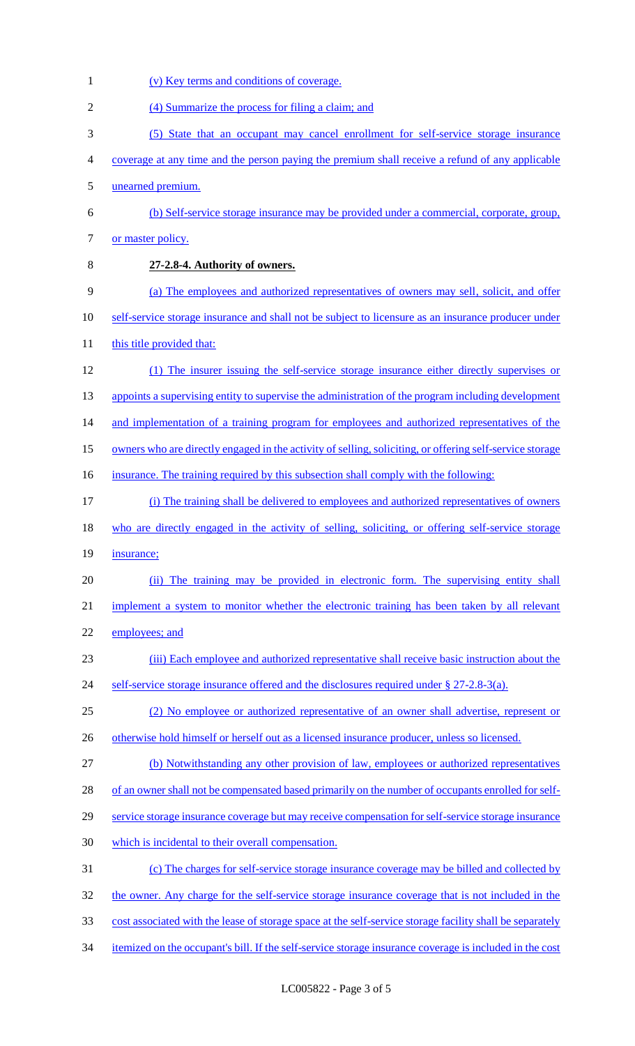(v) Key terms and conditions of coverage. (4) Summarize the process for filing a claim; and (5) State that an occupant may cancel enrollment for self-service storage insurance coverage at any time and the person paying the premium shall receive a refund of any applicable unearned premium. (b) Self-service storage insurance may be provided under a commercial, corporate, group, 7 or master policy. **27-2.8-4. Authority of owners.** (a) The employees and authorized representatives of owners may sell, solicit, and offer 10 self-service storage insurance and shall not be subject to licensure as an insurance producer under 11 this title provided that: (1) The insurer issuing the self-service storage insurance either directly supervises or 13 appoints a supervising entity to supervise the administration of the program including development 14 and implementation of a training program for employees and authorized representatives of the owners who are directly engaged in the activity of selling, soliciting, or offering self-service storage 16 insurance. The training required by this subsection shall comply with the following: (i) The training shall be delivered to employees and authorized representatives of owners 18 who are directly engaged in the activity of selling, soliciting, or offering self-service storage 19 insurance; (ii) The training may be provided in electronic form. The supervising entity shall implement a system to monitor whether the electronic training has been taken by all relevant 22 employees; and (iii) Each employee and authorized representative shall receive basic instruction about the 24 self-service storage insurance offered and the disclosures required under § 27-2.8-3(a). (2) No employee or authorized representative of an owner shall advertise, represent or 26 otherwise hold himself or herself out as a licensed insurance producer, unless so licensed. (b) Notwithstanding any other provision of law, employees or authorized representatives of an owner shall not be compensated based primarily on the number of occupants enrolled for self- service storage insurance coverage but may receive compensation for self-service storage insurance which is incidental to their overall compensation. (c) The charges for self-service storage insurance coverage may be billed and collected by 32 the owner. Any charge for the self-service storage insurance coverage that is not included in the cost associated with the lease of storage space at the self-service storage facility shall be separately itemized on the occupant's bill. If the self-service storage insurance coverage is included in the cost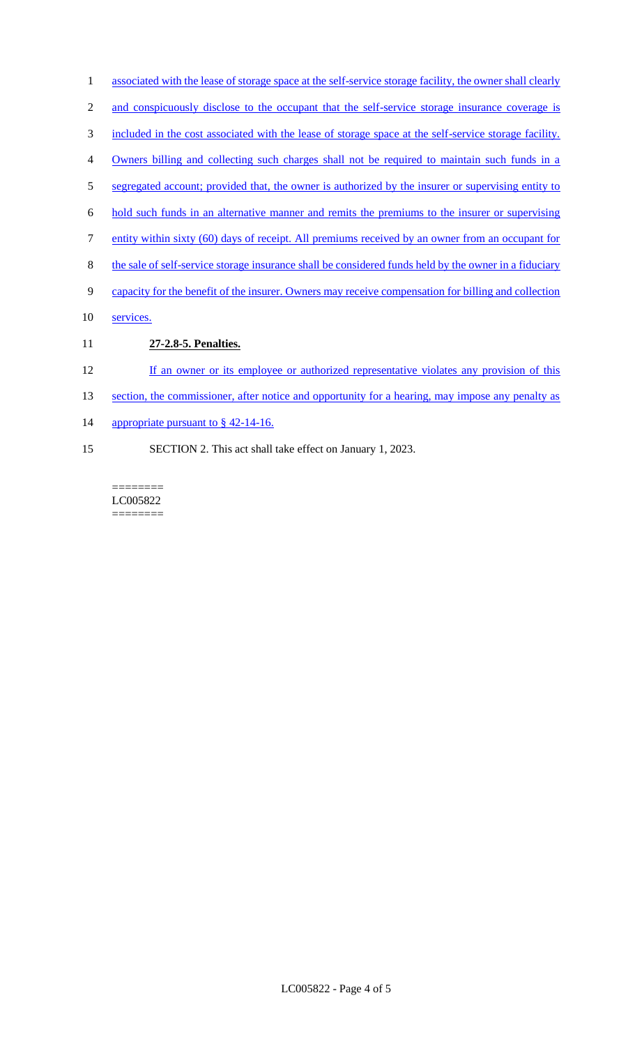- 1 associated with the lease of storage space at the self-service storage facility, the owner shall clearly
- 2 and conspicuously disclose to the occupant that the self-service storage insurance coverage is
- 3 included in the cost associated with the lease of storage space at the self-service storage facility.
- 4 Owners billing and collecting such charges shall not be required to maintain such funds in a
- 5 segregated account; provided that, the owner is authorized by the insurer or supervising entity to
- 6 hold such funds in an alternative manner and remits the premiums to the insurer or supervising
- 7 entity within sixty (60) days of receipt. All premiums received by an owner from an occupant for
- 8 the sale of self-service storage insurance shall be considered funds held by the owner in a fiduciary
- 9 capacity for the benefit of the insurer. Owners may receive compensation for billing and collection
- 10 services.
- 11 **27-2.8-5. Penalties.**
- 12 If an owner or its employee or authorized representative violates any provision of this
- 13 section, the commissioner, after notice and opportunity for a hearing, may impose any penalty as
- 14 appropriate pursuant to § 42-14-16.
- 15 SECTION 2. This act shall take effect on January 1, 2023.

======== LC005822 ========